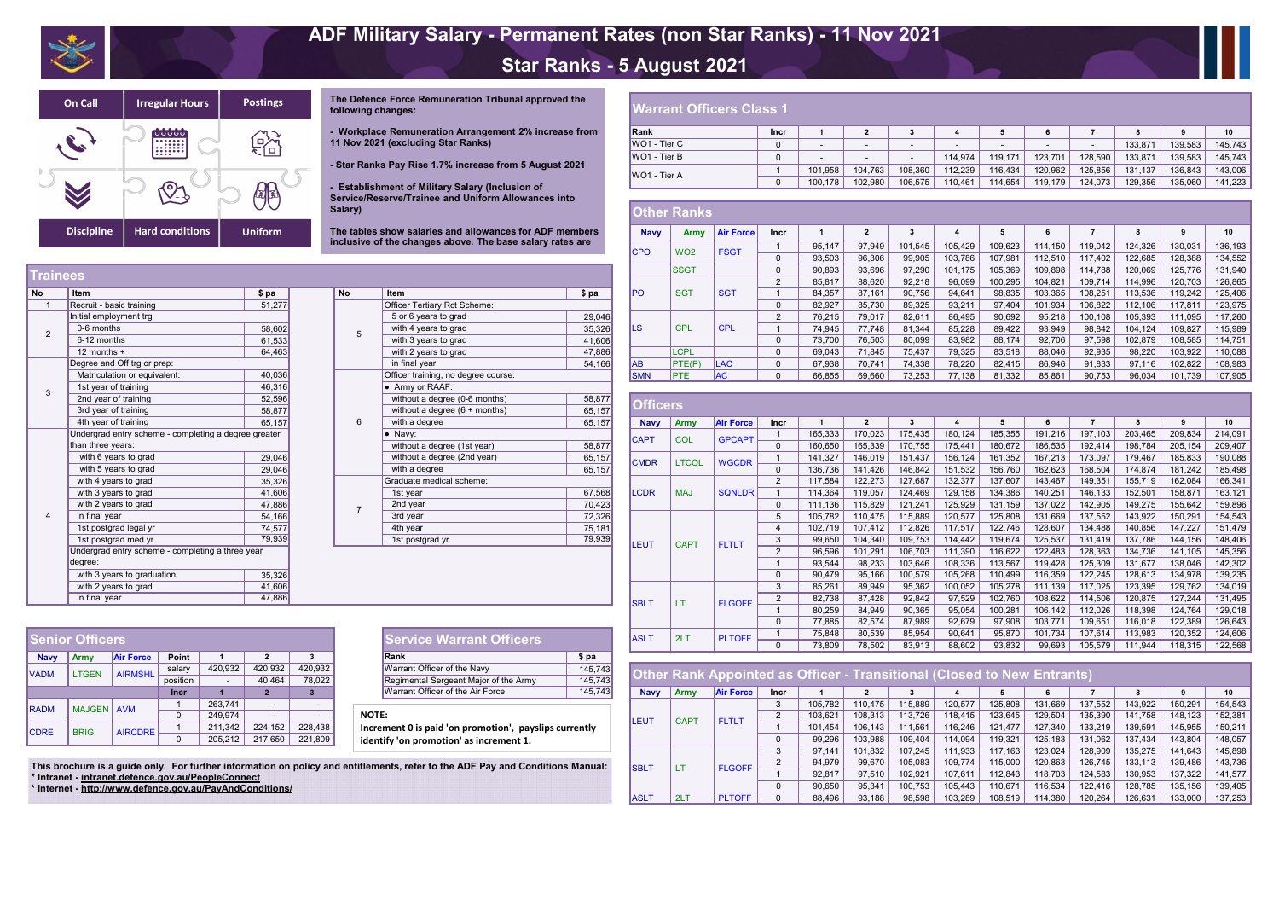

# ADF Military Salary - Permanent Rates (non Star Ranks) - 11 Nov 2021 Star Ranks - 5 August 2021



The Defence Force Remuneration Tribunal approved the following changes:

- Workplace Remuneration Arrangement 2% increase from 11 Nov 2021 (excluding Star Ranks)

- Star Ranks Pay Rise 1.7% increase from 5 August 2021

- Establishment of Military Salary (Inclusion of<br>Service/Reserve/Trainee and Uniform Allowances into Salary)

The tables show salaries and allowances for ADF members inclusive of the changes above. The base salary rates are

| <b>No</b>      | Item                                                                      | \$ pa  |  |  |  |  |  |  |
|----------------|---------------------------------------------------------------------------|--------|--|--|--|--|--|--|
| 1              | Recruit - basic training                                                  | 51,277 |  |  |  |  |  |  |
|                | Initial employment trg                                                    |        |  |  |  |  |  |  |
| $\overline{2}$ | 0-6 months                                                                | 58,602 |  |  |  |  |  |  |
|                | 6-12 months                                                               | 61,533 |  |  |  |  |  |  |
|                | 12 months $+$                                                             | 64,463 |  |  |  |  |  |  |
|                | Degree and Off trg or prep:                                               |        |  |  |  |  |  |  |
|                | Matriculation or equivalent:                                              | 40,036 |  |  |  |  |  |  |
| 3              | 1st year of training                                                      | 46,316 |  |  |  |  |  |  |
|                | 2nd year of training                                                      | 52,596 |  |  |  |  |  |  |
|                | 3rd year of training                                                      | 58,877 |  |  |  |  |  |  |
|                | 4th year of training                                                      | 65,157 |  |  |  |  |  |  |
|                | Undergrad entry scheme - completing a degree greater<br>than three years: |        |  |  |  |  |  |  |
|                | with 6 years to grad                                                      | 29,046 |  |  |  |  |  |  |
|                | with 5 years to grad                                                      | 29,046 |  |  |  |  |  |  |
|                | with 4 years to grad                                                      | 35,326 |  |  |  |  |  |  |
|                | with 3 years to grad                                                      | 41,606 |  |  |  |  |  |  |
|                | with 2 years to grad                                                      | 47,886 |  |  |  |  |  |  |
| 4              | in final year                                                             | 54,166 |  |  |  |  |  |  |
|                | 1st postgrad legal yr                                                     | 74,577 |  |  |  |  |  |  |
|                | 1st postgrad med yr                                                       | 79,939 |  |  |  |  |  |  |
|                | Undergrad entry scheme - completing a three year<br>degree:               |        |  |  |  |  |  |  |
|                | with 3 years to graduation                                                | 35,326 |  |  |  |  |  |  |
|                | with 2 years to grad                                                      | 41,606 |  |  |  |  |  |  |
|                | in final year                                                             | 47,886 |  |  |  |  |  |  |

| <b>No</b>      | Item                                | \$ pa  |
|----------------|-------------------------------------|--------|
|                | Officer Tertiary Rct Scheme:        |        |
|                | 5 or 6 years to grad                | 29,046 |
| 5              | with 4 years to grad                | 35,326 |
|                | with 3 years to grad                | 41,606 |
|                | with 2 years to grad                | 47,886 |
|                | in final year                       | 54,166 |
|                | Officer training, no degree course: |        |
|                | Army or RAAF:                       |        |
|                | without a degree (0-6 months)       | 58,877 |
|                | without a degree $(6 +$ months)     | 65,157 |
| 6              | with a degree                       | 65,157 |
|                | Navy:                               |        |
|                | without a degree (1st year)         | 58,877 |
|                | without a degree (2nd year)         | 65,157 |
|                | with a degree                       | 65,157 |
|                | Graduate medical scheme:            |        |
|                | 1st year                            | 67,568 |
| $\overline{7}$ | 2nd year                            | 70,423 |
|                | 3rd year                            | 72,326 |
|                | 4th year                            | 75,181 |
|                | 1st postgrad yr                     | 79,939 |

## **Warrant Officers Class 1**

| Rank                | <b>Incr</b> |                          | 2                        |                          | 4                        |                          | 6                        |         | 8       |         | 10      |
|---------------------|-------------|--------------------------|--------------------------|--------------------------|--------------------------|--------------------------|--------------------------|---------|---------|---------|---------|
| $WO1$ - Tier C      |             | $\overline{\phantom{0}}$ | $\overline{\phantom{0}}$ |                          | $\overline{\phantom{0}}$ | $\overline{\phantom{0}}$ | $\overline{\phantom{0}}$ |         | 133,871 | 139.583 | 145,743 |
| $WO1$ - Tier B      |             | $\overline{\phantom{0}}$ | $\overline{\phantom{0}}$ | $\overline{\phantom{0}}$ | 114.974                  | 119.171                  | 123.701                  | 128.590 | 133,871 | 139.583 | 145,743 |
| <b>WO1 - Tier A</b> |             | 101.958                  | 104.763                  | 108.360                  | 112.239                  | 116,434                  | 120,962                  | 125.856 | 131.137 | 136.843 | 143,006 |
|                     |             | 100,178                  | 102,980                  | 106.575                  | 110,461                  | 114,654                  | 119.179                  | 124,073 | 129,356 | 135,060 | 141,223 |

|             | ∪tner <del>R</del> anks |                  |                |        |        |         |         |         |         |         |         |         |         |
|-------------|-------------------------|------------------|----------------|--------|--------|---------|---------|---------|---------|---------|---------|---------|---------|
| <b>Navy</b> | Army                    | <b>Air Force</b> | <b>Incr</b>    |        |        | 3       | 4       | 5       | 6       |         |         | 9       | 10      |
| <b>ICPO</b> | WO <sub>2</sub>         | <b>FSGT</b>      |                | 95,147 | 97,949 | 101,545 | 105,429 | 109,623 | 114,150 | 119,042 | 124,326 | 130,031 | 136,193 |
|             |                         |                  | 0              | 93,503 | 96,306 | 99,905  | 103,786 | 107,981 | 112,510 | 117,402 | 122,685 | 128,388 | 134,552 |
|             | <b>SSGT</b>             |                  | 0              | 90,893 | 93,696 | 97,290  | 101,175 | 105,369 | 109,898 | 114,788 | 120,069 | 125,776 | 131,940 |
|             |                         |                  | $\overline{2}$ | 85,817 | 88,620 | 92,218  | 96,099  | 100,295 | 104,821 | 109,714 | 114,996 | 120,703 | 126,865 |
| lPO.        | <b>SGT</b>              | <b>SGT</b>       |                | 84,357 | 87.161 | 90,756  | 94,641  | 98,835  | 103,365 | 108,251 | 113,536 | 119,242 | 125,406 |
|             |                         |                  | $\mathbf{0}$   | 82,927 | 85,730 | 89,325  | 93,211  | 97,404  | 101,934 | 106,822 | 112,106 | 117,811 | 123,975 |
|             |                         |                  | $\overline{2}$ | 76,215 | 79,017 | 82,611  | 86,495  | 90,692  | 95,218  | 100,108 | 105,393 | 111,095 | 117,260 |
| ILS.        | <b>CPL</b>              | <b>CPL</b>       |                | 74,945 | 77,748 | 81,344  | 85,228  | 89,422  | 93,949  | 98,842  | 104,124 | 109,827 | 115,989 |
|             |                         |                  | $\mathbf 0$    | 73,700 | 76,503 | 80,099  | 83,982  | 88,174  | 92,706  | 97,598  | 102,879 | 108,585 | 114,751 |
|             | LCPL                    |                  | $\mathbf{0}$   | 69,043 | 71,845 | 75,437  | 79,325  | 83,518  | 88,046  | 92,935  | 98,220  | 103,922 | 110,088 |
| lAB.        | PTE(P)                  | <b>ILAC</b>      | $\mathbf{0}$   | 67,938 | 70,741 | 74,338  | 78,220  | 82,415  | 86,946  | 91,833  | 97,116  | 102,822 | 108,983 |
| <b>SMN</b>  | <b>PTE</b>              | AC               | 0              | 66,855 | 69,660 | 73,253  | 77,138  | 81,332  | 85,861  | 90,753  | 96,034  | 101,739 | 107,905 |

| <b>Uπicers</b> |              |                  |                |         |              |         |         |         |         |                |         |         |         |         |
|----------------|--------------|------------------|----------------|---------|--------------|---------|---------|---------|---------|----------------|---------|---------|---------|---------|
| <b>Navy</b>    | Army         | <b>Air Force</b> | Incr           |         | $\mathbf{2}$ | 3       | 4       | 5       | 6       | $\overline{7}$ | 8       | 9       | 10      |         |
| <b>CAPT</b>    | <b>COL</b>   | <b>GPCAPT</b>    |                | 165,333 | 170,023      | 175,435 | 180,124 | 185,355 | 191,216 | 197,103        | 203,465 | 209,834 | 214,091 |         |
|                |              |                  | 0              | 160,650 | 165,339      | 170,755 | 175,441 | 180,672 | 186,535 | 192,414        | 198,784 | 205,154 | 209,407 |         |
| <b>CMDR</b>    | <b>LTCOL</b> | <b>WGCDR</b>     |                | 141,327 | 146,019      | 151,437 | 156,124 | 161,352 | 167,213 | 173,097        | 179,467 | 185,833 | 190,088 |         |
|                |              |                  | 0              | 136,736 | 141,426      | 146,842 | 151,532 | 156,760 | 162,623 | 168,504        | 174,874 | 181,242 | 185,498 |         |
|                |              |                  | 2              | 117,584 | 122,273      | 127,687 | 132,377 | 137,607 | 143,467 | 149,351        | 155,719 | 162,084 | 166,341 |         |
| <b>LCDR</b>    | <b>MAJ</b>   | <b>SQNLDR</b>    |                | 114,364 | 119,057      | 124,469 | 129,158 | 134,386 | 140,251 | 146,133        | 152,501 | 158,871 | 163,121 |         |
|                |              |                  | 0              | 111,136 | 115,829      | 121,241 | 125,929 | 131,159 | 137,022 | 142,905        | 149,275 | 155,642 | 159,896 |         |
|                |              | <b>FLTLT</b>     |                | 5       | 105,782      | 110,475 | 115,889 | 120,577 | 125,808 | 131,669        | 137,552 | 143,922 | 150,291 | 154,543 |
|                |              |                  | 4              | 102,719 | 107,412      | 112,826 | 117,517 | 122,746 | 128,607 | 134,488        | 140,856 | 147,227 | 151,479 |         |
| ILEUT          | <b>CAPT</b>  |                  | 3              | 99,650  | 104,340      | 109,753 | 114,442 | 119,674 | 125,537 | 131,419        | 137,786 | 144,156 | 148,406 |         |
|                |              |                  | $\overline{2}$ | 96,596  | 101,291      | 106,703 | 111,390 | 116,622 | 122,483 | 128,363        | 134,736 | 141,105 | 145,356 |         |
|                |              |                  |                | 93,544  | 98,233       | 103,646 | 108,336 | 113,567 | 119,428 | 125,309        | 131,677 | 138,046 | 142,302 |         |
|                |              |                  | 0              | 90,479  | 95,166       | 100,579 | 105,268 | 110,499 | 116,359 | 122,245        | 128,613 | 134,978 | 139,235 |         |
|                |              |                  | 3              | 85,261  | 89,949       | 95,362  | 100,052 | 105,278 | 111,139 | 117,025        | 123,395 | 129,762 | 134,019 |         |
| <b>ISBLT</b>   | LТ           | <b>FLGOFF</b>    | 2              | 82,738  | 87,428       | 92,842  | 97,529  | 102,760 | 108,622 | 114,506        | 120,875 | 127,244 | 131,495 |         |
|                |              |                  |                | 80,259  | 84,949       | 90,365  | 95,054  | 100,281 | 106,142 | 112,026        | 118,398 | 124,764 | 129,018 |         |
|                |              |                  | 0              | 77,885  | 82,574       | 87,989  | 92,679  | 97,908  | 103,771 | 109,651        | 116,018 | 122,389 | 126,643 |         |
| <b>ASLT</b>    | 2LT          | <b>PLTOFF</b>    |                | 75,848  | 80,539       | 85,954  | 90,641  | 95,870  | 101,734 | 107,614        | 113,983 | 120,352 | 124,606 |         |
|                |              |                  | 0              | 73,809  | 78,502       | 83,913  | 88,602  | 93,832  | 99,693  | 105,579        | 111,944 | 118,315 | 122,568 |         |

|                             | <b>Other Rank Appointed as Officer - Transitional (Closed to New Entrants)</b> |                  |             |         |         |         |         |         |         |         |         |         |         |
|-----------------------------|--------------------------------------------------------------------------------|------------------|-------------|---------|---------|---------|---------|---------|---------|---------|---------|---------|---------|
| <b>Navy</b>                 | Army                                                                           | <b>Air Force</b> | <b>Incr</b> |         | 2       |         | 4       |         | 6       |         | 8       | 9       | 10      |
|                             |                                                                                |                  | 3           | 105,782 | 110.475 | 115,889 | 120,577 | 125,808 | 131,669 | 137,552 | 143,922 | 150,291 | 154,543 |
| <b>ILEUT</b><br><b>CAPT</b> | <b>FLTLT</b>                                                                   | $\mathcal{P}$    | 103,621     | 108,313 | 113,726 | 118,415 | 123,645 | 129,504 | 135,390 | 141,758 | 148,123 | 152,381 |         |
|                             |                                                                                |                  |             | 101,454 | 106,143 | 111,561 | 116,246 | 121,477 | 127,340 | 133,219 | 139,591 | 145,955 | 150.211 |
|                             |                                                                                |                  | 0           | 99.296  | 103.988 | 109,404 | 114.094 | 119.321 | 125,183 | 131.062 | 137.434 | 143.804 | 148,057 |
|                             |                                                                                |                  |             | 97.141  | 101,832 | 107.245 | 111,933 | 117.163 | 123,024 | 128,909 | 135,275 | 141,643 | 145,898 |
| <b>ISBLT</b>                | LT                                                                             | <b>FLGOFF</b>    |             | 94.979  | 99.670  | 105,083 | 109.774 | 115.000 | 120,863 | 126.745 | 133.113 | 139,486 | 143,736 |
|                             |                                                                                |                  |             | 92.817  | 97,510  | 102,921 | 107,611 | 112,843 | 118,703 | 124,583 | 130,953 | 137,322 | 141,577 |
|                             |                                                                                |                  | 0           | 90,650  | 95,341  | 100,753 | 105,443 | 110,671 | 116,534 | 122,416 | 128,785 | 135,156 | 139,405 |
| <b>ASLT</b>                 | 2LT                                                                            | <b>PLTOFF</b>    | 0           | 88.496  | 93.188  | 98.598  | 103.289 | 108.519 | 114.380 | 120.264 | 126.631 | 133.000 | 137.253 |

| <b>Senior Officers</b> |               |                  |             |         |         |         |  |  |  |  |  |  |
|------------------------|---------------|------------------|-------------|---------|---------|---------|--|--|--|--|--|--|
| <b>Navy</b>            | Army          | <b>Air Force</b> | Point       |         | 2       |         |  |  |  |  |  |  |
| <b>VADM</b>            | <b>LTGEN</b>  | <b>AIRMSHL</b>   | salary      | 420,932 | 420,932 | 420.932 |  |  |  |  |  |  |
|                        |               |                  | position    |         | 40,464  | 78,022  |  |  |  |  |  |  |
|                        |               |                  | <b>Incr</b> |         |         |         |  |  |  |  |  |  |
| <b>RADM</b>            | <b>MAJGEN</b> | <b>AVM</b>       |             | 263,741 |         |         |  |  |  |  |  |  |
|                        |               |                  | 0           | 249,974 |         |         |  |  |  |  |  |  |
| <b>CDRE</b>            | <b>BRIG</b>   | <b>AIRCDRE</b>   |             | 211,342 | 224,152 | 228,438 |  |  |  |  |  |  |
|                        |               |                  |             | 205.212 | 217,650 | 221,809 |  |  |  |  |  |  |

#### **Service Warrant Officers**

| \$ pa   |
|---------|
| 145.743 |
| 145.743 |
| 145.743 |
|         |

NOTE:

Increment 0 is paid 'on promotion', payslips currently identify 'on promotion' as increment 1.

This brochure is a guide only. For further information on policy and entitlements, refer to the ADF Pay and Conditions Manual: \* Intranet - intranet.defence.gov.au/PeopleConnect

\* Internet - http://www.defence.gov.au/PayAndConditions/

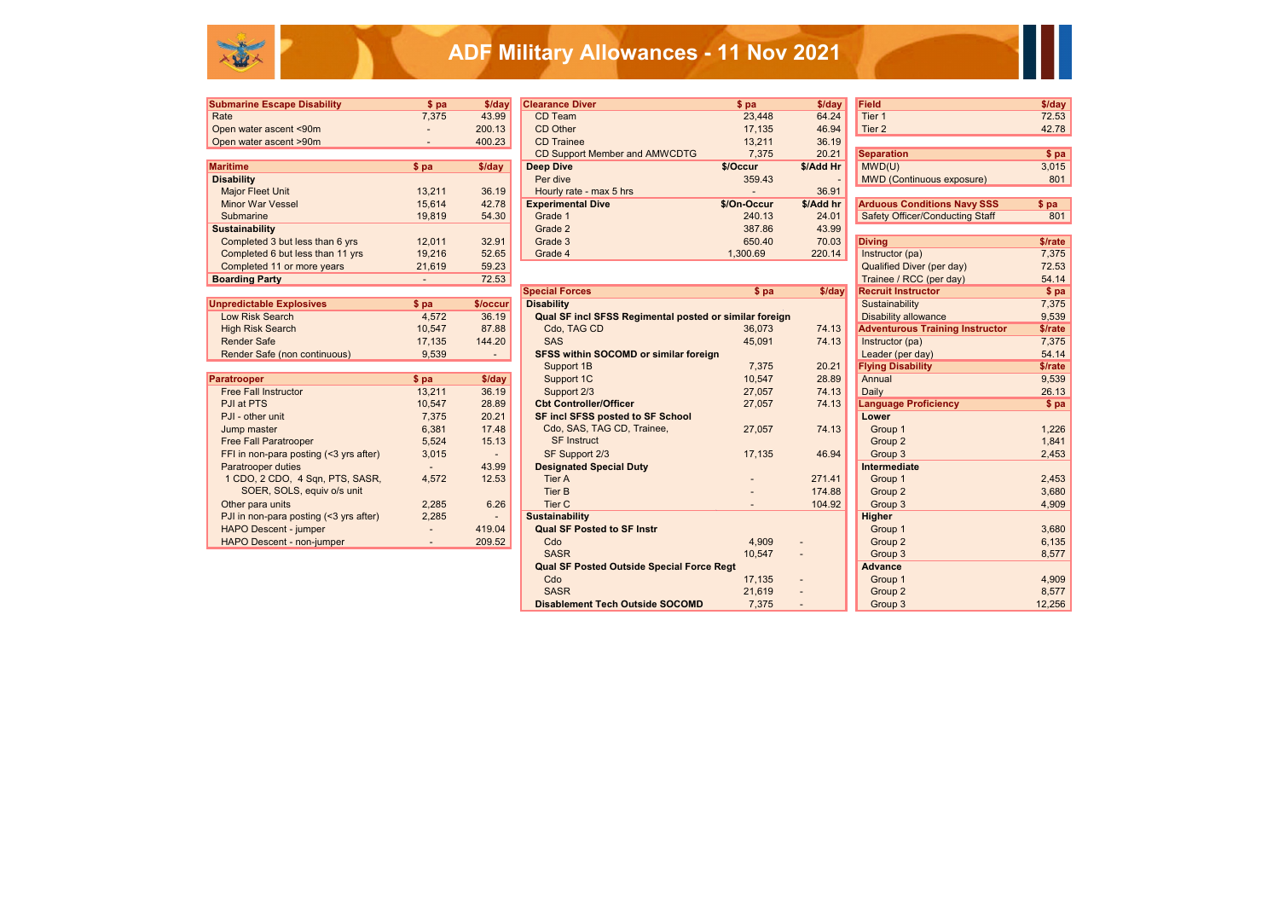| <b>Submarine Escape Disability</b> | \$pa                     | \$/day | <b>Clearance Diver</b>        | $$$ pa      | $$$ /day  | <b>Field</b>                           | \$/day  |
|------------------------------------|--------------------------|--------|-------------------------------|-------------|-----------|----------------------------------------|---------|
| Rate                               | 7,375                    | 43.99  | CD Team                       | 23,448      | 64.24     | Tier <sub>1</sub>                      | 72.53   |
| Open water ascent <90m             |                          | 200.13 | CD Other                      | 17.135      | 46.94     | Tier 2                                 | 42.78   |
| Open water ascent >90m             | $\overline{\phantom{0}}$ | 400.23 | <b>CD</b> Trainee             | 13,211      | 36.19     |                                        |         |
|                                    |                          |        | CD Support Member and AMWCDTG | 7,375       | 20.21     | <b>Separation</b>                      | \$ pa   |
| Maritime                           | \$pa                     | \$/day | Deep Dive                     | \$/Occur    | \$/Add Hr | MWD(U)                                 | 3,015   |
| <b>Disability</b>                  |                          |        | Per dive                      | 359.43      |           | MWD (Continuous exposure)              | 801     |
| <b>Major Fleet Unit</b>            | 13.211                   | 36.19  | Hourly rate - max 5 hrs       |             | 36.91     |                                        |         |
| <b>Minor War Vessel</b>            | 15.614                   | 42.78  | <b>Experimental Dive</b>      | \$/On-Occur | \$/Add hr | <b>Arduous Conditions Navy SSS</b>     | $$$ pa  |
| Submarine                          | 19,819                   | 54.30  | Grade 1                       | 240.13      | 24.01     | <b>Safety Officer/Conducting Staff</b> | 801     |
| <b>Sustainability</b>              |                          |        | Grade 2                       | 387.86      | 43.99     |                                        |         |
| Completed 3 but less than 6 yrs    | 12,011                   | 32.91  | Grade 3                       | 650.40      | 70.03     | <b>Diving</b>                          | \$/rate |
| Completed 6 but less than 11 yrs   | 19,216                   | 52.65  | Grade 4                       | 1,300.69    | 220.14    | Instructor (pa)                        | 7,375   |
|                                    | $\sim$                   | -- --  |                               |             |           |                                        | $- - -$ |

| <b>Submarine Escape Disability</b> | \$pa   | \$/day   | <b>Clearance Diver</b>                                 | \$pa        | \$/day    | <b>Field</b>                           | \$/day  |
|------------------------------------|--------|----------|--------------------------------------------------------|-------------|-----------|----------------------------------------|---------|
| Rate                               | 7,375  | 43.99    | CD Team                                                | 23,448      | 64.24     | Tier 1                                 | 72.53   |
| Open water ascent <90m             |        | 200.13   | CD Other                                               | 17,135      | 46.94     | Tier 2                                 | 42.78   |
| Open water ascent >90m             | $\sim$ | 400.23   | <b>CD</b> Trainee                                      | 13,211      | 36.19     |                                        |         |
|                                    |        |          | <b>CD Support Member and AMWCDTG</b>                   | 7,375       | 20.21     | <b>Separation</b>                      | \$ pa   |
| <b>Maritime</b>                    | \$pa   | \$/day   | Deep Dive                                              | \$/Occur    | \$/Add Hr | MWD(U)                                 | 3,015   |
| <b>Disability</b>                  |        |          | Per dive                                               | 359.43      |           | <b>MWD (Continuous exposure)</b>       | 801     |
| Major Fleet Unit                   | 13,211 | 36.19    | Hourly rate - max 5 hrs                                |             | 36.91     |                                        |         |
| <b>Minor War Vessel</b>            | 15,614 | 42.78    | <b>Experimental Dive</b>                               | \$/On-Occur | \$/Add hr | <b>Arduous Conditions Navy SSS</b>     | \$pa    |
| Submarine                          | 19,819 | 54.30    | Grade 1                                                | 240.13      | 24.01     | <b>Safety Officer/Conducting Staff</b> | 801     |
| <b>Sustainability</b>              |        |          | Grade 2                                                | 387.86      | 43.99     |                                        |         |
| Completed 3 but less than 6 yrs    | 12,011 | 32.91    | Grade 3                                                | 650.40      | 70.03     | <b>Diving</b>                          | \$/rate |
| Completed 6 but less than 11 yrs   | 19,216 | 52.65    | Grade 4                                                | 1,300.69    | 220.14    | Instructor (pa)                        | 7,375   |
| Completed 11 or more years         | 21,619 | 59.23    |                                                        |             |           | <b>Qualified Diver (per day)</b>       | 72.53   |
| <b>Boarding Party</b>              |        | 72.53    |                                                        |             |           | Trainee / RCC (per day)                | 54.14   |
|                                    |        |          | <b>Special Forces</b>                                  | \$pa        | \$/day    | <b>Recruit Instructor</b>              | $$$ pa  |
| <b>Unpredictable Explosives</b>    | $$$ pa | \$/occur | <b>Disability</b>                                      |             |           | Sustainability                         | 7,375   |
| Low Risk Search                    | 4,572  | 36.19    | Qual SF incl SFSS Regimental posted or similar foreign |             |           | <b>Disability allowance</b>            | 9,539   |
| <b>High Risk Search</b>            | 10,547 | 87.88    | Cdo, TAG CD                                            | 36,073      | 74.13     | <b>Adventurous Training Instructor</b> | \$/rate |
| <b>Render Safe</b>                 | 17,135 | 144.20   | <b>SAS</b>                                             | 45,091      | 74.13     | Instructor (pa)                        | 7,375   |
| Render Safe (non continuous)       | 9,539  |          | <b>SFSS within SOCOMD or similar foreign</b>           |             |           | Leader (per day)                       | 54.14   |
|                                    |        |          | Support 1B                                             | 7,375       | 20.21     | <b>Flying Disability</b>               | \$/rate |
| <b>Paratrooper</b>                 | \$pa   | \$/day   | Support 1C                                             | 10,547      | 28.89     | Annual                                 | 9,539   |
| Ford Fall Instantation             | 10.011 | 20.40    |                                                        | 27057       | 7110      | $D = 11.7$                             | 00.40   |

|                                        |        |          | <b>Special Forces</b>                                  | $$$ pa | \$/day                   | <b>Recruit Instructor</b>              | $$$ pa  |
|----------------------------------------|--------|----------|--------------------------------------------------------|--------|--------------------------|----------------------------------------|---------|
| <b>Unpredictable Explosives</b>        | $$$ pa | \$/occur | <b>Disability</b>                                      |        |                          | Sustainability                         | 7,375   |
| Low Risk Search                        | 4,572  | 36.19    | Qual SF incl SFSS Regimental posted or similar foreign |        |                          | <b>Disability allowance</b>            | 9,539   |
| High Risk Search                       | 10,547 | 87.88    | Cdo, TAG CD                                            | 36,073 | 74.13                    | <b>Adventurous Training Instructor</b> | \$/rate |
| <b>Render Safe</b>                     | 17,135 | 144.20   | <b>SAS</b>                                             | 45,091 | 74.13                    | Instructor (pa)                        | 7,375   |
| Render Safe (non continuous)           | 9,539  | $\sim$   | <b>SFSS within SOCOMD or similar foreign</b>           |        |                          | Leader (per day)                       | 54.14   |
|                                        |        |          | Support 1B                                             | 7,375  | 20.21                    | <b>Flying Disability</b>               | \$/rate |
| Paratrooper                            | \$pa   | \$/day   | Support 1C                                             | 10,547 | 28.89                    | Annual                                 | 9,539   |
| <b>Free Fall Instructor</b>            | 13,211 | 36.19    | Support 2/3                                            | 27,057 | 74.13                    | Daily                                  | 26.13   |
| PJI at PTS                             | 10,547 | 28.89    | <b>Cbt Controller/Officer</b>                          | 27,057 | 74.13                    | <b>Language Proficiency</b>            | \$pa    |
| PJI - other unit                       | 7,375  | 20.21    | <b>SF incl SFSS posted to SF School</b>                |        |                          | Lower                                  |         |
| Jump master                            | 6,381  | 17.48    | Cdo, SAS, TAG CD, Trainee,                             | 27,057 | 74.13                    | Group 1                                | 1,226   |
| <b>Free Fall Paratrooper</b>           | 5,524  | 15.13    | <b>SF Instruct</b>                                     |        |                          | Group 2                                | 1,841   |
| FFI in non-para posting (<3 yrs after) | 3,015  |          | SF Support 2/3                                         | 17,135 | 46.94                    | Group 3                                | 2,453   |
| Paratrooper duties                     |        | 43.99    | <b>Designated Special Duty</b>                         |        |                          | Intermediate                           |         |
| 1 CDO, 2 CDO, 4 Sqn, PTS, SASR,        | 4,572  | 12.53    | Tier A                                                 | $\sim$ | 271.41                   | Group 1                                | 2,453   |
| SOER, SOLS, equiv o/s unit             |        |          | <b>Tier B</b>                                          |        | 174.88                   | Group 2                                | 3,680   |
| Other para units                       | 2,285  | 6.26     | Tier <sub>C</sub>                                      |        | 104.92                   | Group 3                                | 4,909   |
| PJI in non-para posting (<3 yrs after) | 2,285  |          | <b>Sustainability</b>                                  |        |                          | <b>Higher</b>                          |         |
| <b>HAPO Descent - jumper</b>           |        | 419.04   | <b>Qual SF Posted to SF Instr</b>                      |        |                          | Group 1                                | 3,680   |
| HAPO Descent - non-jumper              | $\sim$ | 209.52   | Cdo                                                    | 4,909  | $\sim$                   | Group 2                                | 6,135   |
|                                        |        |          | <b>SASR</b>                                            | 10,547 |                          | Group 3                                | 8,577   |
|                                        |        |          | <b>Qual SF Posted Outside Special Force Regt</b>       |        |                          | <b>Advance</b>                         |         |
|                                        |        |          | Cdo                                                    | 17,135 | $\overline{\phantom{a}}$ | Group 1                                | 4,909   |
|                                        |        |          | <b>SASR</b>                                            | 21,619 |                          | Group 2                                | 8,577   |
|                                        |        |          | <b>Disablement Tech Outside SOCOMD</b>                 | 7,375  |                          | Group 3                                | 12,256  |

| <b>Field</b>                           | \$/day  |
|----------------------------------------|---------|
| Tier <sub>1</sub>                      | 72.53   |
| Tier <sub>2</sub>                      | 42.78   |
|                                        |         |
| <b>Separation</b>                      | \$ pa   |
| MWD(U)                                 | 3,015   |
| <b>MWD (Continuous exposure)</b>       | 801     |
|                                        |         |
| <b>Arduous Conditions Navy SSS</b>     | \$pa    |
| <b>Safety Officer/Conducting Staff</b> | 801     |
|                                        |         |
| <b>Diving</b>                          | \$/rate |
| Instructor (pa)                        | 7,375   |
| <b>Qualified Diver (per day)</b>       | 72.53   |
| Trainee / RCC (per day)                | 54.14   |
| <b>Recruit Instructor</b>              | \$pa    |
| Sustainability                         | 7,375   |
| <b>Disability allowance</b>            | 9,539   |
| <b>Adventurous Training Instructor</b> | \$/rate |
| Instructor (pa)                        | 7,375   |
| Leader (per day)                       | 54.14   |
| <b>Flying Disability</b>               | \$/rate |
| Annual                                 | 9,539   |
| Daily                                  | 26.13   |
| <b>Language Proficiency</b>            | \$pa    |
| Lower                                  |         |
| Group 1                                | 1,226   |
| Group <sub>2</sub>                     | 1,841   |
| Group <sub>3</sub>                     | 2,453   |
| <b>Intermediate</b>                    |         |
| Group 1                                | 2,453   |
| Group <sub>2</sub>                     | 3,680   |
| Group 3                                | 4,909   |
| <b>Higher</b>                          |         |
| Group 1                                | 3,680   |
| Group <sub>2</sub>                     | 6,135   |
| Group 3                                | 8,577   |
| <b>Advance</b>                         |         |
| Group 1                                | 4,909   |
| Group <sub>2</sub>                     | 8,577   |
| Group 3                                | 12,256  |

| <b>Field</b>                           | \$/day  |
|----------------------------------------|---------|
| Tier 1                                 | 72.53   |
| Tier <sub>2</sub>                      | 42.78   |
|                                        |         |
| <b>Separation</b>                      | \$pa    |
| MWD(U)                                 | 3,015   |
| <b>MWD (Continuous exposure)</b>       | 801     |
|                                        |         |
| <b>Arduous Conditions Navy SSS</b>     | \$pa    |
| <b>Safety Officer/Conducting Staff</b> | 801     |
|                                        |         |
| <b>Diving</b>                          | \$/rate |
| Instructor (pa)                        | 7,375   |
| <b>Qualified Diver (per day)</b>       | 72.53   |
| Trainee / RCC (per day)                | 54.14   |
| <b>Recruit Instructor</b>              | \$pa    |
| Sustainability                         | 7,375   |
| <b>Disability allowance</b>            | 9,539   |
| <b>Adventurous Training Instructor</b> | \$/rate |
| Instructor (pa)                        | 7,375   |
| Leader (per day)                       | 54.14   |
| <b>Flying Disability</b>               | \$/rate |
| Annual                                 | 9.539   |
| Daily                                  | 26.13   |
| <b>Language Proficiency</b>            | \$pa    |
| Lower                                  |         |
| Group 1                                | 1,226   |
| Group 2                                | 1,841   |
| Group 3                                | 2,453   |
| Intermediate                           |         |
| Group 1                                | 2,453   |
| Group <sub>2</sub>                     | 3,680   |
| Group 3                                | 4,909   |
| <b>Higher</b>                          |         |
| Group 1                                | 3,680   |
| Group <sub>2</sub>                     | 6,135   |
| Group 3                                | 8,577   |
| <b>Advance</b>                         |         |
| Group 1                                | 4,909   |
| Group <sub>2</sub>                     | 8,577   |
| Group 3                                | 12,256  |



| <b>Paratrooper</b>                     | \$ pa  | \$/day |
|----------------------------------------|--------|--------|
| <b>Free Fall Instructor</b>            | 13,211 | 36.19  |
| PJI at PTS                             | 10,547 | 28.89  |
| PJI - other unit                       | 7.375  | 20.21  |
| Jump master                            | 6,381  | 17.48  |
| <b>Free Fall Paratrooper</b>           | 5.524  | 15.13  |
| FFI in non-para posting (<3 yrs after) | 3,015  |        |
| <b>Paratrooper duties</b>              |        | 43.99  |
| 1 CDO, 2 CDO, 4 Sqn, PTS, SASR,        | 4.572  | 12.53  |
| SOER, SOLS, equiv o/s unit             |        |        |
| Other para units                       | 2,285  | 6.26   |
| PJI in non-para posting (<3 yrs after) | 2,285  |        |
| <b>HAPO Descent - jumper</b>           |        | 419.04 |
| HAPO Descent - non-iumner              |        | 209.52 |



# **ADF Military Allowances - 11 Nov 2021**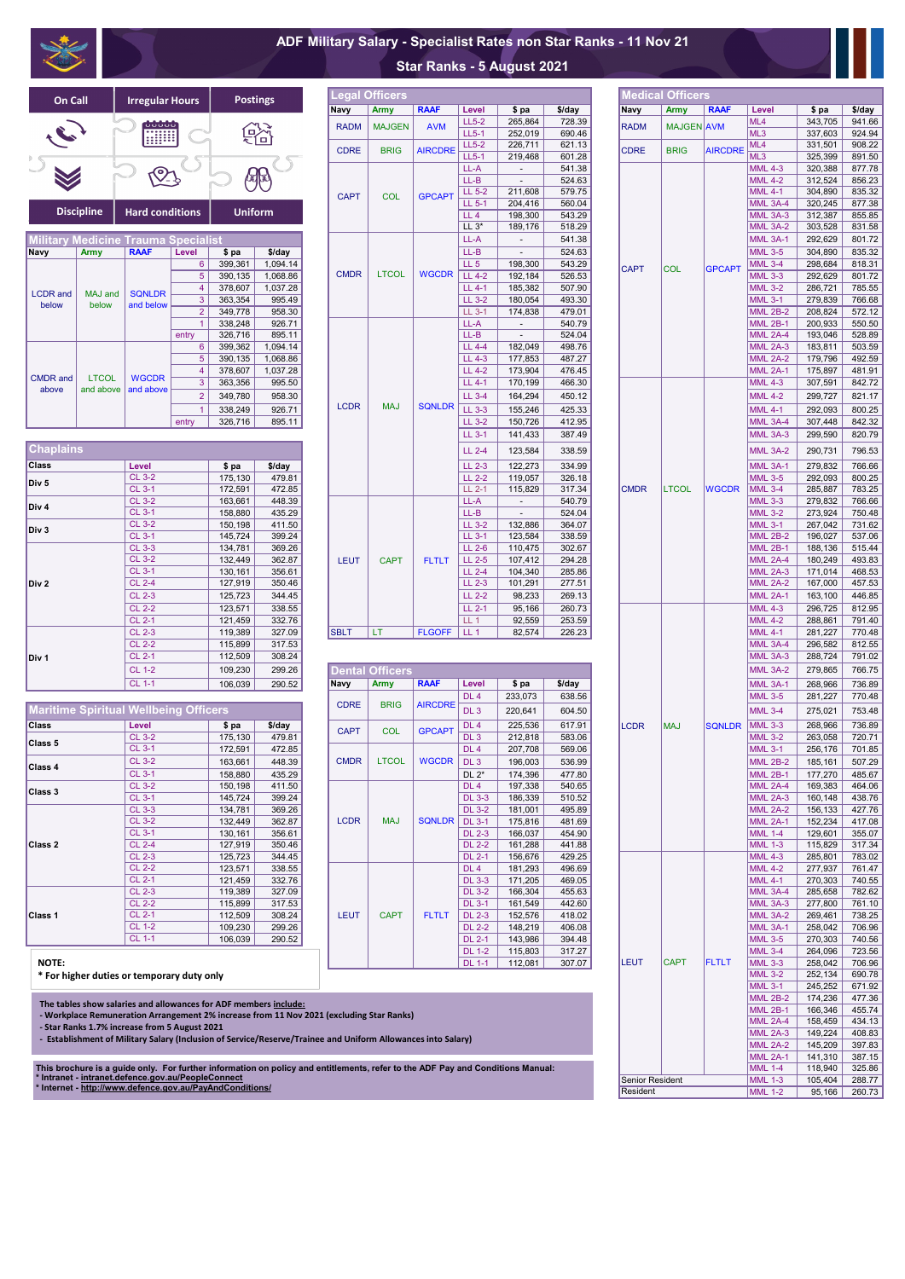|                                     |                              |                  |                             | <b>Medical Officers</b> |                |                                    |                    |                  |
|-------------------------------------|------------------------------|------------------|-----------------------------|-------------------------|----------------|------------------------------------|--------------------|------------------|
| Level                               | \$ pa                        | \$/day           | <b>Navy</b>                 | <b>Army</b>             | <b>RAAF</b>    | Level                              | \$ pa              | \$/day           |
| LL5-2                               | 265,864                      | 728.39           | <b>RADM</b>                 | MAJGEN AVM              |                | ML4                                | 343,705            | 941.66           |
| LL5-1<br>$LL5-2$                    | 252,019                      | 690.46           |                             |                         |                | ML3<br>ML4                         | 337,603            | 924.94           |
| $LL5-1$                             | 226,711<br>219,468           | 621.13<br>601.28 | <b>CDRE</b>                 | <b>BRIG</b>             | <b>AIRCDRE</b> | ML3                                | 331,501<br>325,399 | 908.22<br>891.50 |
| $LL-A$                              | $\overline{\phantom{a}}$     | 541.38           |                             |                         |                | <b>MML 4-3</b>                     | 320,388            | 877.78           |
| LL-B                                | $\qquad \qquad \blacksquare$ | 524.63           |                             |                         |                | <b>MML 4-2</b>                     | 312,524            | 856.23           |
| LL 5-2<br>$LL5-1$                   | 211,608                      | 579.75           |                             |                         |                | <b>MML 4-1</b>                     | 304,890            | 835.32           |
| LL 4                                | 204,416<br>198,300           | 560.04<br>543.29 |                             |                         |                | <b>MML 3A-4</b><br><b>MML 3A-3</b> | 320,245<br>312,387 | 877.38<br>855.85 |
| LL $3^*$                            | 189,176                      | 518.29           |                             |                         |                | <b>MML 3A-2</b>                    | 303,528            | 831.58           |
| LL-A                                |                              | 541.38           |                             |                         |                | <b>MML 3A-1</b>                    | 292,629            | 801.72           |
| $LL-B$                              | $\overline{a}$               | 524.63           |                             |                         |                | <b>MML 3-5</b>                     | 304,890            | 835.32           |
| LL <sub>5</sub><br>LL 4-2           | 198,300<br>192,184           | 543.29<br>526.53 | <b>CAPT</b>                 | COL                     | <b>GPCAPT</b>  | <b>MML 3-4</b><br><b>MML 3-3</b>   | 298,684<br>292,629 | 818.31<br>801.72 |
| LL 4-1                              | 185,382                      | 507.90           |                             |                         |                | <b>MML 3-2</b>                     | 286,721            | 785.55           |
| LL 3-2                              | 180,054                      | 493.30           |                             |                         |                | <b>MML 3-1</b>                     | 279,839            | 766.68           |
| $LL$ 3-1                            | 174,838                      | 479.01           |                             |                         |                | <b>MML 2B-2</b>                    | 208,824            | 572.12           |
| LL-A<br>$LL-B$                      |                              | 540.79<br>524.04 |                             |                         |                | <b>MML 2B-1</b><br><b>MML 2A-4</b> | 200,933<br>193,046 | 550.50<br>528.89 |
| LL 4-4                              | 182,049                      | 498.76           |                             |                         |                | <b>MML 2A-3</b>                    | 183,811            | 503.59           |
| LL 4-3                              | 177,853                      | 487.27           |                             |                         |                | <b>MML 2A-2</b>                    | 179,796            | 492.59           |
| LL 4-2                              | 173,904                      | 476.45           |                             |                         |                | <b>MML 2A-1</b>                    | 175,897            | 481.91           |
| LL 4-1                              | 170,199                      | 466.30           |                             |                         |                | <b>MML 4-3</b>                     | 307,591            | 842.72           |
| LL 3-4                              | 164,294                      | 450.12           |                             |                         |                | <b>MML 4-2</b>                     | 299,727            | 821.17           |
| LL 3-3<br>LL 3-2                    | 155,246<br>150,726           | 425.33<br>412.95 |                             |                         |                | <b>MML 4-1</b><br>MML 3A-4         | 292,093<br>307,448 | 800.25<br>842.32 |
| LL 3-1                              | 141,433                      | 387.49           |                             |                         |                | MML 3A-3                           | 299,590            | 820.79           |
| LL 2-4                              | 123,584                      | 338.59           |                             |                         |                | <b>MML 3A-2</b>                    | 290,731            | 796.53           |
| $LL$ 2-3                            | 122,273                      | 334.99           |                             |                         |                | <b>MML 3A-1</b>                    | 279,832            | 766.66           |
| $LL$ 2-2                            | 119,057                      | 326.18           |                             |                         |                | <b>MML 3-5</b>                     | 292,093            | 800.25           |
| LL 2-1                              | 115,829                      | 317.34           | <b>CMDR</b>                 | <b>LTCOL</b>            | <b>WGCDR</b>   | <b>MML 3-4</b>                     | 285,887            | 783.25           |
| LL-A<br>$\overline{\mathsf{LL}}$ -B |                              | 540.79<br>524.04 |                             |                         |                | <b>MML 3-3</b><br><b>MML 3-2</b>   | 279,832<br>273,924 | 766.66<br>750.48 |
| LL 3-2                              | 132,886                      | 364.07           |                             |                         |                | <b>MML 3-1</b>                     | 267,042            | 731.62           |
| LL 3-1                              | 123,584                      | 338.59           |                             |                         |                | <b>MML 2B-2</b>                    | 196,027            | 537.06           |
| $LL$ 2-6                            | 110,475                      | 302.67           |                             |                         |                | <b>MML 2B-1</b>                    | 188,136            | 515.44           |
| LL 2-5<br>LL 2-4                    | 107,412<br>104,340           | 294.28<br>285.86 |                             |                         |                | MML 2A-4<br><b>MML 2A-3</b>        | 180,249<br>171,014 | 493.83<br>468.53 |
| $\overline{LL}$ 2-3                 | 101,291                      | 277.51           |                             |                         |                | <b>MML 2A-2</b>                    | 167,000            | 457.53           |
| LL 2-2                              | 98,233                       | 269.13           |                             |                         |                | <b>MML 2A-1</b>                    | 163,100            | 446.85           |
| LL 2-1                              | 95,166                       | 260.73           |                             |                         |                | <b>MML 4-3</b>                     | 296,725            | 812.95           |
| LL 1<br>LL <sub>1</sub>             | 92,559<br>82,574             | 253.59<br>226.23 |                             |                         |                | <b>MML 4-2</b><br><b>MML 4-1</b>   | 288,861<br>281,227 | 791.40<br>770.48 |
|                                     |                              |                  |                             |                         |                | <b>MML 3A-4</b>                    | 296,582            | 812.55           |
|                                     |                              |                  |                             |                         |                | <b>MML 3A-3</b>                    | 288,724            | 791.02           |
|                                     |                              |                  |                             |                         |                | <b>MML 3A-2</b>                    | 279,865            | 766.75           |
| Level<br>DL 4                       | \$ pa<br>233,073             | \$/day<br>638.56 |                             |                         |                | <b>MML 3A-1</b><br><b>MML 3-5</b>  | 268,966<br>281,227 | 736.89<br>770.48 |
| DL <sub>3</sub>                     | 220,641                      | 604.50           |                             |                         |                | <b>MML 3-4</b>                     | 275,021            | 753.48           |
| DL 4                                | 225,536                      | 617.91           | LCDR                        | <b>MAJ</b>              | <b>SQNLDR</b>  | <b>MML 3-3</b>                     | 268,966            | 736.89           |
| DL <sub>3</sub>                     | 212,818                      | 583.06           |                             |                         |                | <b>MML 3-2</b>                     | 263,058            | 720.71           |
| DL 4                                | 207,708                      | 569.06           |                             |                         |                | <b>MML 3-1</b>                     | 256,176            | 701.85           |
| DL <sub>3</sub>                     | 196,003                      | 536.99           |                             |                         |                | <b>MML 2B-2</b>                    | 185,161            | 507.29           |
| $DL 2*$<br>DL 4                     | 174,396<br>197,338           | 477.80<br>540.65 |                             |                         |                | <b>MML 2B-1</b><br><b>MML 2A-4</b> | 177,270<br>169,383 | 485.67<br>464.06 |
| <b>DL 3-3</b>                       | 186,339                      | 510.52           |                             |                         |                | <b>MML 2A-3</b>                    | 160,148            | 438.76           |
| <b>DL 3-2</b>                       | 181,001                      | 495.89           |                             |                         |                | <b>MML 2A-2</b>                    | 156,133            | 427.76           |
| <b>DL 3-1</b><br>DL 2-3             | 175,816<br>166,037           | 481.69<br>454.90 |                             |                         |                | <b>MML 2A-1</b><br><b>MML 1-4</b>  | 152,234<br>129,601 | 417.08<br>355.07 |
| $\overline{DL}$ 2-2                 | 161,288                      | 441.88           |                             |                         |                | <b>MML 1-3</b>                     | 115,829            | 317.34           |
| DL 2-1                              | 156,676                      | 429.25           |                             |                         |                | <b>MML 4-3</b>                     | 285,801            | 783.02           |
| DL 4                                | 181,293                      | 496.69           |                             |                         |                | <b>MML 4-2</b>                     | 277,937            | 761.47           |
| <b>DL 3-3</b><br><b>DL 3-2</b>      | 171,205<br>166,304           | 469.05<br>455.63 |                             |                         |                | <b>MML 4-1</b><br>MML 3A-4         | 270,303<br>285,658 | 740.55<br>782.62 |
| <b>DL 3-1</b>                       | 161,549                      | 442.60           |                             |                         |                | MML 3A-3                           | 277,800            | 761.10           |
| $\overline{DL}$ 2-3                 | 152,576                      | 418.02           |                             |                         |                | <b>MML 3A-2</b>                    | 269,461            | 738.25           |
| <b>DL 2-2</b>                       | 148,219                      | 406.08           |                             |                         |                | <b>MML 3A-1</b>                    | 258,042            | 706.96           |
| DL 2-1<br><b>DL 1-2</b>             | 143,986<br>115,803           | 394.48<br>317.27 |                             |                         |                | <b>MML 3-5</b><br><b>MML 3-4</b>   | 270,303<br>264,096 | 740.56<br>723.56 |
| <b>DL 1-1</b>                       | 112,081                      | 307.07           | LEUT                        | <b>CAPT</b>             | <b>FLTLT</b>   | <b>MML 3-3</b>                     | 258,042            | 706.96           |
|                                     |                              |                  |                             |                         |                | <b>MML 3-2</b>                     | 252,134            | 690.78           |
|                                     |                              |                  |                             |                         |                | <b>MML 3-1</b><br><b>MML 2B-2</b>  | 245,252<br>174,236 | 671.92<br>477.36 |
|                                     |                              |                  |                             |                         |                | <b>MML 2B-1</b>                    | 166,346            | 455.74           |
|                                     |                              |                  |                             |                         |                | <b>MML 2A-4</b>                    | 158,459            | 434.13           |
| 'y)                                 |                              |                  |                             |                         |                | <b>MML 2A-3</b><br>MML 2A-2        | 149,224<br>145,209 | 408.83<br>397.83 |
|                                     |                              |                  |                             |                         |                | <b>MML 2A-1</b>                    | 141,310            | 387.15           |
|                                     | nd Conditions Manual:        |                  |                             |                         |                | <b>MML 1-4</b>                     | 118,940            | 325.86           |
|                                     |                              |                  | Senior Resident<br>Resident |                         |                | <b>MML 1-3</b><br><b>MML 1-2</b>   | 105,404<br>95,166  | 288.77<br>260.73 |
|                                     |                              |                  |                             |                         |                |                                    |                    |                  |

|                                |                    |                  | Navy        | <b>Army</b>            | <b>RAAF</b>    | Level                            | \$ pa                    | \$/day           | Navy        | <b>Army</b>  | <b>RAAF</b>    | Level                            | \$ pa              | \$/day           |
|--------------------------------|--------------------|------------------|-------------|------------------------|----------------|----------------------------------|--------------------------|------------------|-------------|--------------|----------------|----------------------------------|--------------------|------------------|
|                                |                    |                  | <b>RADM</b> | <b>MAJGEN</b>          | <b>AVM</b>     | $LL5-2$                          | 265,864                  | 728.39           | <b>RADM</b> | MAJGEN AVM   |                | ML4                              | 343,705            | 941.66           |
|                                |                    | 谿                |             |                        |                | $LL5-1$                          | 252,019                  | 690.46           |             |              |                | ML3                              | 337,603            | 924.94           |
|                                |                    |                  | <b>CDRE</b> | <b>BRIG</b>            | <b>AIRCDRE</b> | $LL5-2$<br>$LL5-1$               | 226,711<br>219,468       | 621.13<br>601.28 | <b>CDRE</b> | <b>BRIG</b>  | <b>AIRCDRE</b> | ML4<br>ML3                       | 331,501<br>325,399 | 908.22<br>891.50 |
|                                |                    |                  |             |                        |                | LL-A                             |                          | 541.38           |             |              |                | <b>MML 4-3</b>                   | 320,388            | 877.78           |
|                                |                    | 卵                |             |                        |                | $LL-B$                           | $\overline{\phantom{a}}$ | 524.63           |             |              |                | <b>MML 4-2</b>                   | 312,524            | 856.23           |
|                                |                    |                  |             |                        |                | LL 5-2                           | 211,608                  | 579.75           |             |              |                | <b>MML 4-1</b>                   | 304,890            | 835.32           |
|                                |                    |                  | <b>CAPT</b> | COL                    | <b>GPCAPT</b>  | $LL$ 5-1                         | 204,416                  | 560.04           |             |              |                | <b>MML 3A-4</b>                  | 320,245            | 877.38           |
| itions                         | <b>Uniform</b>     |                  |             |                        |                | LL <sub>4</sub>                  | 198,300                  | 543.29           |             |              |                | MML 3A-3                         | 312,387            | 855.85           |
|                                |                    |                  |             |                        |                | $LL 3*$                          | 189,176                  | 518.29           |             |              |                | MML 3A-2                         | 303,528            | 831.58           |
| pecialist                      |                    |                  |             |                        |                | LL-A                             |                          | 541.38           |             |              |                | <b>MML 3A-1</b>                  | 292,629            | 801.72           |
| Level                          | \$ pa              | \$/day           |             |                        |                | $LL-B$                           |                          | 524.63           |             |              |                | <b>MML 3-5</b>                   | 304,890            | 835.32           |
| $6^{\circ}$                    | 399,361            | 1,094.14         |             |                        |                | LL <sub>5</sub>                  | 198,300                  | 543.29           | <b>CAPT</b> | <b>COL</b>   | <b>GPCAPT</b>  | <b>MML 3-4</b>                   | 298,684            | 818.31           |
| 5 <sup>5</sup>                 | 390,135            | 1,068.86         | <b>CMDR</b> | <b>LTCOL</b>           | <b>WGCDR</b>   | LL 4-2                           | 192,184                  | 526.53           |             |              |                | <b>MML 3-3</b>                   | 292,629            | 801.72           |
| $\overline{4}$                 | 378,607            | 1,037.28         |             |                        |                | LL 4-1                           | 185,382                  | 507.90           |             |              |                | <b>MML 3-2</b>                   | 286,721            | 785.55           |
| $\mathbf{3}$                   | 363,354<br>349,778 | 995.49<br>958.30 |             |                        |                | LL 3-2<br>$LL$ 3-1               | 180,054                  | 493.30<br>479.01 |             |              |                | <b>MML 3-1</b><br>MML 2B-2       | 279,839<br>208,824 | 766.68           |
| $\overline{2}$<br>$\mathbf{1}$ | 338,248            | 926.71           |             |                        |                | LL-A                             | 174,838                  | 540.79           |             |              |                | MML 2B-1                         | 200,933            | 572.12<br>550.50 |
| entry                          | 326,716            | 895.11           |             |                        |                | $LL-B$                           | $\overline{\phantom{a}}$ | 524.04           |             |              |                | MML 2A-4                         | 193,046            | 528.89           |
| 6                              | 399,362            | 1,094.14         |             |                        |                | LL 4-4                           | 182,049                  | 498.76           |             |              |                | <b>MML 2A-3</b>                  | 183,811            | 503.59           |
| 5                              | 390,135            | 1,068.86         |             |                        |                | <b>LL 4-3</b>                    | 177,853                  | 487.27           |             |              |                | <b>MML 2A-2</b>                  | 179,796            | 492.59           |
| $\overline{\mathbf{4}}$        | 378,607            | 1,037.28         |             |                        |                | LL 4-2                           | 173,904                  | 476.45           |             |              |                | <b>MML 2A-1</b>                  | 175,897            | 481.91           |
| 3                              | 363,356            | 995.50           |             |                        |                | LL 4-1                           | 170,199                  | 466.30           |             |              |                | <b>MML 4-3</b>                   | 307,591            | 842.72           |
| $\overline{2}$                 | 349,780            | 958.30           |             |                        |                | LL 3-4                           | 164,294                  | 450.12           |             |              |                | <b>MML 4-2</b>                   | 299,727            | 821.17           |
| $\overline{1}$                 | 338,249            | 926.71           | <b>LCDR</b> | <b>MAJ</b>             | <b>SQNLDR</b>  | $LL$ 3-3                         | 155,246                  | 425.33           |             |              |                | <b>MML 4-1</b>                   | 292,093            | 800.25           |
| entry                          | 326,716            | 895.11           |             |                        |                | LL 3-2                           | 150,726                  | 412.95           |             |              |                | MML 3A-4                         | 307,448            | 842.32           |
|                                |                    |                  |             |                        |                | LL 3-1                           | 141,433                  | 387.49           |             |              |                | MML 3A-3                         | 299,590            | 820.79           |
|                                |                    |                  |             |                        |                | LL 2-4                           | 123,584                  | 338.59           |             |              |                | <b>MML 3A-2</b>                  | 290,731            | 796.53           |
|                                |                    | \$/day           |             |                        |                | LL 2-3                           | 122,273                  | 334.99           |             |              |                | MML 3A-1                         | 279,832            | 766.66           |
|                                | \$ pa<br>175,130   | 479.81           |             |                        |                | $LL$ 2-2                         | 119,057                  | 326.18           |             |              |                | <b>MML 3-5</b>                   | 292,093            | 800.25           |
|                                | 172,591            | 472.85           |             |                        |                | $LL$ 2-1                         | 115,829                  | 317.34           | <b>CMDR</b> | <b>LTCOL</b> | <b>WGCDR</b>   | <b>MML 3-4</b>                   | 285,887            | 783.25           |
|                                | 163,661            | 448.39           |             |                        |                | $LL-A$                           |                          | 540.79           |             |              |                | <b>MML 3-3</b>                   | 279,832            | 766.66           |
|                                | 158,880            | 435.29           |             |                        |                | $LL-B$                           |                          | 524.04           |             |              |                | <b>MML 3-2</b>                   | 273,924            | 750.48           |
|                                | 150,198            | 411.50           |             |                        |                | LL 3-2                           | 132,886                  | 364.07           |             |              |                | <b>MML 3-1</b>                   | 267,042            | 731.62           |
|                                | 145,724            | 399.24           |             |                        |                | LL 3-1                           | 123,584                  | 338.59           |             |              |                | MML 2B-2                         | 196,027            | 537.06           |
|                                | 134,781            | 369.26           |             |                        |                | LL 2-6                           | 110,475                  | 302.67           |             |              |                | MML 2B-1                         | 188,136            | 515.44           |
|                                | 132,449            | 362.87           | <b>LEUT</b> | <b>CAPT</b>            | <b>FLTLT</b>   | LL 2-5                           | 107,412                  | 294.28           |             |              |                | MML 2A-4                         | 180,249            | 493.83           |
|                                | 130,161            | 356.61           |             |                        |                | LL 2-4                           | 104,340                  | 285.86           |             |              |                | <b>MML 2A-3</b>                  | 171,014            | 468.53           |
|                                | 127,919            | 350.46           |             |                        |                | LL 2-3                           | 101,291                  | 277.51           |             |              |                | MML 2A-2                         | 167,000            | 457.53           |
|                                | 125,723            | 344.45           |             |                        |                | LL 2-2                           | 98,233                   | 269.13           |             |              |                | MML 2A-1                         | 163,100            | 446.85           |
|                                | 123,571<br>121,459 | 338.55<br>332.76 |             |                        |                | LL 2-1<br>LL <sub>1</sub>        | 95,166<br>92,559         | 260.73<br>253.59 |             |              |                | <b>MML 4-3</b><br><b>MML 4-2</b> | 296,725<br>288,861 | 812.95<br>791.40 |
|                                | 119,389            | 327.09           | <b>SBLT</b> | LT.                    | <b>FLGOFF</b>  | LL <sub>1</sub>                  | 82,574                   | 226.23           |             |              |                | <b>MML 4-1</b>                   | 281,227            | 770.48           |
|                                | 115,899            | 317.53           |             |                        |                |                                  |                          |                  |             |              |                | MML 3A-4                         | 296,582            | 812.55           |
|                                | 112,509            | 308.24           |             |                        |                |                                  |                          |                  |             |              |                | MML 3A-3                         | 288,724            | 791.02           |
|                                | 109,230            | 299.26           |             | <b>Dental Officers</b> |                |                                  |                          |                  |             |              |                | MML 3A-2                         | 279,865            | 766.75           |
|                                | 106,039            | 290.52           | Navy        | <b>Army</b>            | <b>RAAF</b>    | Level                            | \$ pa                    | \$/day           |             |              |                | MML 3A-1                         | 268,966            | 736.89           |
|                                |                    |                  |             |                        |                | DL <sub>4</sub>                  | 233,073                  | 638.56           |             |              |                | <b>MML 3-5</b>                   | 281,227            | 770.48           |
| <b>Officers</b>                |                    |                  | <b>CDRE</b> | <b>BRIG</b>            | <b>AIRCDRE</b> | DL <sub>3</sub>                  | 220,641                  | 604.50           |             |              |                | <b>MML 3-4</b>                   | 275,021            | 753.48           |
|                                |                    |                  |             |                        |                |                                  | 225,536                  |                  |             |              |                |                                  |                    | 736.89           |
|                                | \$ pa<br>175,130   | \$/day<br>479.81 | <b>CAPT</b> | <b>COL</b>             | <b>GPCAPT</b>  | DL 4<br>DL <sub>3</sub>          | 212,818                  | 617.91<br>583.06 | <b>LCDR</b> | <b>MAJ</b>   | <b>SQNLDR</b>  | <b>MML 3-3</b><br><b>MML 3-2</b> | 268,966<br>263,058 | 720.71           |
|                                | 172,591            | 472.85           |             |                        |                | DL <sub>4</sub>                  | 207,708                  | 569.06           |             |              |                | <b>MML 3-1</b>                   | 256,176            | 701.85           |
|                                | 163,661            | 448.39           | <b>CMDR</b> | <b>LTCOL</b>           | <b>WGCDR</b>   | DL <sub>3</sub>                  | 196,003                  | 536.99           |             |              |                | MML 2B-2                         | 185,161            | 507.29           |
|                                | 158,880            | 435.29           |             |                        |                | DL 2*                            | 174,396                  | 477.80           |             |              |                | MML 2B-1                         | 177,270            | 485.67           |
|                                | 150,198            | 411.50           |             |                        |                | DL 4                             | 197,338                  | 540.65           |             |              |                | MML 2A-4                         | 169,383            | 464.06           |
|                                | 145,724            | 399.24           |             |                        |                | <b>DL 3-3</b>                    | 186,339                  | 510.52           |             |              |                | MML 2A-3                         | 160,148            | 438.76           |
|                                | 134,781            | 369.26           |             |                        |                | <b>DL 3-2</b>                    | 181,001                  | 495.89           |             |              |                | <b>MML 2A-2</b>                  | 156,133            | 427.76           |
|                                | 132,449            | 362.87           | <b>LCDR</b> | <b>MAJ</b>             | <b>SQNLDR</b>  | <b>DL 3-1</b>                    | 175,816                  | 481.69           |             |              |                | <b>MML 2A-1</b>                  | 152,234            | 417.08           |
|                                | 130,161            | 356.61           |             |                        |                | <b>DL 2-3</b>                    | 166,037                  | 454.90           |             |              |                | <b>MML 1-4</b>                   | 129,601            | 355.07           |
|                                | 127,919            | 350.46           |             |                        |                | <b>DL 2-2</b>                    | 161,288                  | 441.88           |             |              |                | <b>MML 1-3</b>                   | 115,829            | 317.34           |
|                                | 125,723            | 344.45           |             |                        |                | <b>DL 2-1</b>                    | 156,676                  | 429.25           |             |              |                | <b>MML 4-3</b>                   | 285,801            | 783.02           |
|                                | 123,571<br>121,459 | 338.55<br>332.76 |             |                        |                | DL <sub>4</sub><br><b>DL 3-3</b> | 181,293<br>171,205       | 496.69<br>469.05 |             |              |                | <b>MML 4-2</b><br><b>MML 4-1</b> | 277,937<br>270,303 | 761.47<br>740.55 |
|                                | 119,389            | 327.09           |             |                        |                | <b>DL 3-2</b>                    | 166,304                  | 455.63           |             |              |                | MML 3A-4                         | 285,658            | 782.62           |
|                                | 115,899            | 317.53           |             |                        |                | <b>DL 3-1</b>                    | 161,549                  | 442.60           |             |              |                | MML 3A-3                         | 277,800            | 761.10           |
|                                | 112,509            | 308.24           | <b>LEUT</b> | <b>CAPT</b>            | <b>FLTLT</b>   | <b>DL 2-3</b>                    | 152,576                  | 418.02           |             |              |                | MML 3A-2                         | 269,461            | 738.25           |
|                                | 109,230            | 299.26           |             |                        |                | <b>DL 2-2</b>                    | 148,219                  | 406.08           |             |              |                | MML 3A-1                         | 258,042            | 706.96           |
|                                | 106,039            | 290.52           |             |                        |                | <b>DL 2-1</b>                    | 143,986                  | 394.48           |             |              |                | <b>MML 3-5</b>                   | 270,303            | 740.56           |
|                                |                    |                  |             |                        |                | <b>DL 1-2</b>                    | 115,803                  | 317.27           |             |              |                | <b>MML 3-4</b>                   | 264,096            | 723.56           |
|                                |                    |                  |             |                        |                | <b>DL 1-1</b>                    | 112,081                  | 307.07           | LEUT        | <b>CAPT</b>  | <b>FLTLT</b>   | <b>MML 3-3</b>                   | 258,042            | 706.96           |
| y duty only.                   |                    |                  |             |                        |                |                                  |                          |                  |             |              |                | $MML$ 3-2                        | 252 134            | 690.78           |

## **On Call Irregular Hours Postings**  $\begin{tabular}{|c|c|} \hline \textcolor{red}{\textbf{c}} & \textcolor{blue}{\textbf{c}} & \textcolor{blue}{\textbf{c}} \\ \hline \textcolor{blue}{\textbf{c}} & \textcolor{blue}{\textbf{c}} & \textcolor{blue}{\textbf{c}} \\ \hline \textcolor{blue}{\textbf{c}} & \textcolor{blue}{\textbf{c}} & \textcolor{blue}{\textbf{c}} \\ \hline \textcolor{blue}{\textbf{c}} & \textcolor{blue}{\textbf{c}} & \textcolor{blue}{\textbf{c}} \\ \hline \textcolor{blue}{\textbf{c}} & \textcolor{blue}{\textbf{c}} & \textcolor{blue}{\textbf{c$ 翁 123 8  $\blacktriangledown$ **Discipline Hard conditions Uniform**

|                                            |                                |               |       |         |          |             |              |               | −− ∪            | 100, 110                 | 0.040  |              |            |               | 1               | 000,020 | $\sim$ |
|--------------------------------------------|--------------------------------|---------------|-------|---------|----------|-------------|--------------|---------------|-----------------|--------------------------|--------|--------------|------------|---------------|-----------------|---------|--------|
| <b>Military Medicine Trauma Specialist</b> |                                |               |       |         |          |             |              |               | LL-A            | $\overline{\phantom{0}}$ | 541.38 |              |            |               | MML 3A-1        | 292,629 | 801.72 |
| Navy                                       | <b>Army</b>                    | <b>RAAF</b>   | Level | \$ pa   | \$/day   |             |              |               | $LL-B$          | $\overline{\phantom{0}}$ | 524.63 |              |            |               | <b>MML 3-5</b>  | 304,890 | 835.32 |
|                                            |                                |               | 6     | 399,361 | 1,094.14 |             |              |               | LL <sub>5</sub> | 198,300                  | 543.29 | <b>ICAPT</b> | <b>COL</b> | <b>GPCAPT</b> | <b>MML 3-4</b>  | 298,684 | 818.31 |
|                                            |                                |               | 5     | 390,135 | 1,068.86 | <b>CMDR</b> | <b>LTCOL</b> | <b>WGCDR</b>  | LL 4-2          | 192,184                  | 526.53 |              |            |               | <b>MML 3-3</b>  | 292,629 | 801.72 |
| <b>LCDR</b> and                            | MAJ and                        | <b>SQNLDR</b> |       | 378,607 | 1,037.28 |             |              |               | LL 4-1          | 185,382                  | 507.90 |              |            |               | <b>MML 3-2</b>  | 286,721 | 785.55 |
| below                                      | below                          | and below     |       | 363,354 | 995.49   |             |              |               | LL 3-2          | 180,054                  | 493.30 |              |            |               | <b>IMML 3-1</b> | 279,839 | 766.68 |
|                                            |                                |               |       | 349,778 | 958.30   |             |              |               | LL 3-1          | 174,838                  | 479.01 |              |            |               | MML 2B-2        | 208,824 | 572.12 |
|                                            |                                |               |       | 338,248 | 926.71   |             |              |               | LL-A            | $\blacksquare$           | 540.79 |              |            |               | MML 2B-1        | 200,933 | 550.50 |
|                                            |                                |               | entry | 326,716 | 895.11   |             |              |               | $LL-B$          | $\overline{\phantom{0}}$ | 524.04 |              |            |               | MML 2A-4        | 193,046 | 528.89 |
|                                            |                                |               | -6    | 399,362 | 1,094.14 |             |              |               | LL 4-4          | 182,049                  | 498.76 |              |            |               | <b>MML 2A-3</b> | 183,811 | 503.59 |
|                                            |                                |               | 5     | 390,135 | 1,068.86 |             |              |               | LL 4-3          | 177,853                  | 487.27 |              |            |               | MML 2A-2        | 179,796 | 492.59 |
|                                            |                                |               |       | 378,607 | 1,037.28 |             |              |               | LL 4-2          | 173,904                  | 476.45 |              |            |               | MML 2A-1        | 175,897 | 481.91 |
| CMDR and                                   | LTCOL<br>and above   and above | <b>WGCDR</b>  |       | 363,356 | 995.50   |             |              |               | $LL$ 4-1        | 170,199                  | 466.30 |              |            |               | <b>MML 4-3</b>  | 307,591 | 842.72 |
| above                                      |                                |               |       | 349,780 | 958.30   |             |              |               | LL 3-4          | 164,294                  | 450.12 |              |            |               | MML 4-2         | 299,727 | 821.17 |
|                                            |                                |               |       | 338,249 | 926.71   | <b>LCDR</b> | <b>MAJ</b>   | <b>SQNLDR</b> | LL 3-3          | 155,246                  | 425.33 |              |            |               | <b>MML 4-1</b>  | 292,093 | 800.25 |
|                                            |                                |               | entry | 326,716 | 895.11   |             |              |               | LL 3-2          | 150,726                  | 412.95 |              |            |               | MML 3A-4        | 307,448 | 842.32 |

| <b>Chaplains</b> |               |         |        |
|------------------|---------------|---------|--------|
| <b>Class</b>     | Level         | \$ pa   | \$/day |
| Div <sub>5</sub> | <b>CL 3-2</b> | 175,130 | 479.81 |
|                  | <b>CL 3-1</b> | 172,591 | 472.85 |
| Div <sub>4</sub> | <b>CL 3-2</b> | 163,661 | 448.39 |
|                  | <b>CL 3-1</b> | 158,880 | 435.29 |
| Div <sub>3</sub> | <b>CL 3-2</b> | 150,198 | 411.50 |
|                  | <b>CL 3-1</b> | 145,724 | 399.24 |
|                  | <b>CL 3-3</b> | 134,781 | 369.26 |
|                  | <b>CL 3-2</b> | 132,449 | 362.87 |
|                  | <b>CL 3-1</b> | 130,161 | 356.61 |
| Div <sub>2</sub> | <b>CL 2-4</b> | 127,919 | 350.46 |
|                  | <b>CL 2-3</b> | 125,723 | 344.45 |
|                  | <b>CL 2-2</b> | 123,571 | 338.55 |
|                  | <b>CL 2-1</b> | 121,459 | 332.76 |
|                  | <b>CL 2-3</b> | 119,389 | 327.09 |
|                  | <b>CL 2-2</b> | 115,899 | 317.53 |
| Div <sub>1</sub> | <b>CL 2-1</b> | 112,509 | 308.24 |
|                  | <b>CL 1-2</b> | 109,230 | 299.26 |
|                  | <b>CL 1-1</b> | 106,039 | 290.52 |

| <b>Class</b>       | Level         | \$ pa   | \$/day |
|--------------------|---------------|---------|--------|
| Class 5            | <b>CL 3-2</b> | 175,130 | 479.81 |
|                    | <b>CL 3-1</b> | 172,591 | 472.85 |
| Class 4            | <b>CL 3-2</b> | 163,661 | 448.39 |
|                    | <b>CL 3-1</b> | 158,880 | 435.29 |
| Class 3            | <b>CL 3-2</b> | 150,198 | 411.50 |
|                    | <b>CL 3-1</b> | 145,724 | 399.24 |
|                    | <b>CL 3-3</b> | 134,781 | 369.26 |
|                    | <b>CL 3-2</b> | 132,449 | 362.87 |
|                    | <b>CL 3-1</b> | 130,161 | 356.61 |
| Class <sub>2</sub> | <b>CL 2-4</b> | 127,919 | 350.46 |
|                    | <b>CL 2-3</b> | 125,723 | 344.45 |
|                    | <b>CL 2-2</b> | 123,571 | 338.55 |
|                    | <b>CL 2-1</b> | 121,459 | 332.76 |
|                    | <b>CL 2-3</b> | 119,389 | 327.09 |
|                    | <b>CL 2-2</b> | 115,899 | 317.53 |
| Class 1            | <b>CL 2-1</b> | 112,509 | 308.24 |
|                    | <b>CL 1-2</b> | 109,230 | 299.26 |
|                    | <b>CL 1-1</b> | 106,039 | 290.52 |

#### **\* For higher duties or temporary duty only**

**This brochure is a guide only. For further information on policy and entitlements, refer to the ADF Pay and Conditions Manual: \* Intranet - intranet.defence.gov.au/PeopleConnect \* Internet - http://www.defence.gov.au/PayAndConditions/**



# **ADF Military Salary - Specialist Rates non Star Ranks - 11 Nov 21**

| Star Ranks - 5 August 2021 |  |  |
|----------------------------|--|--|
|                            |  |  |

**Legal Officers** 

- **The tables show salaries and allowances for ADF members include:**
- **‐ Workplace Remuneration Arrangement 2% increase from 11 Nov 2021 (excluding Star Ranks)**
- **‐ Star Ranks 1.7% increase from 5 August 2021**
- **‐ Establishment of Military Salary (Inclusion of Service/Reserve/Trainee and Uniform Allowances into Salary)**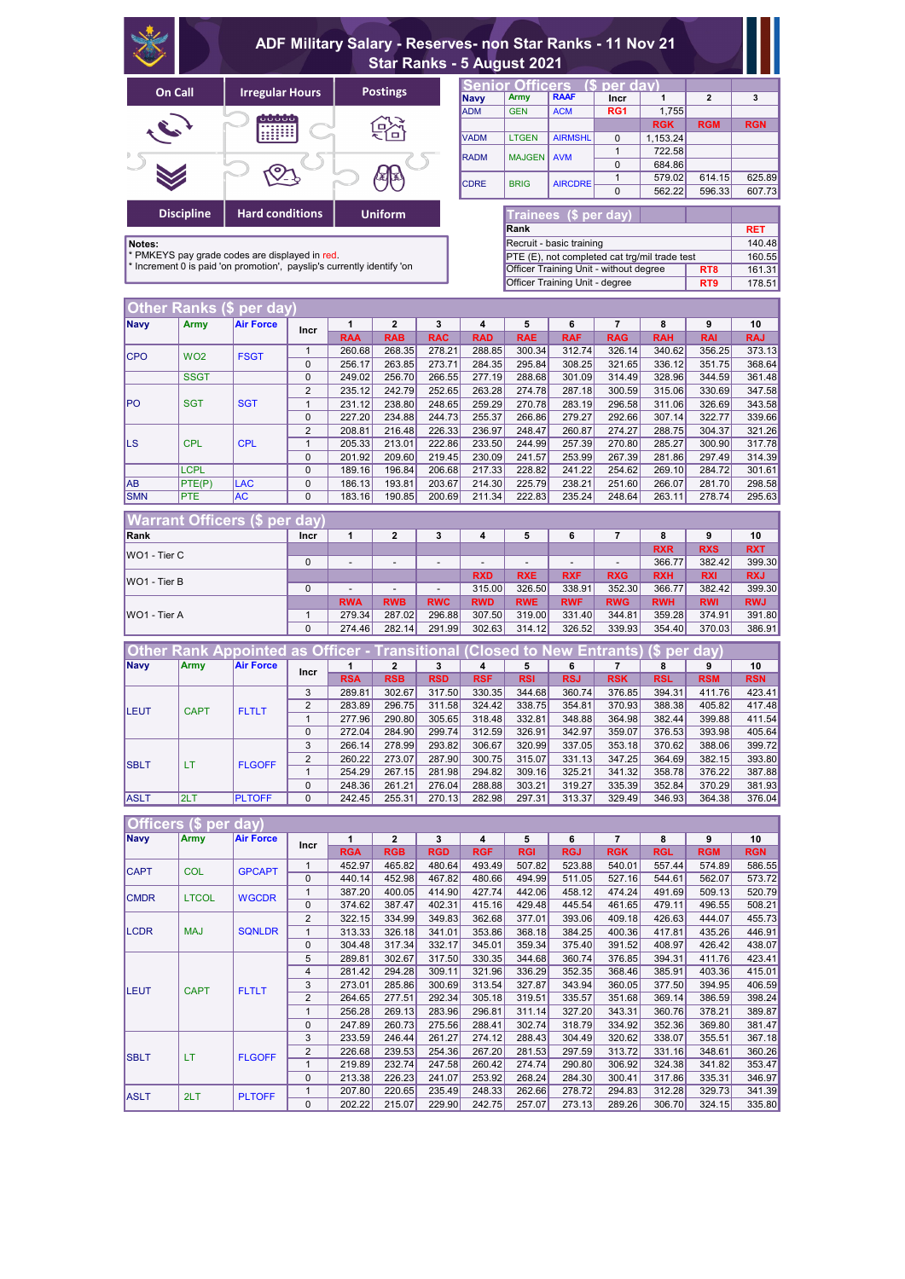|                     |                                                                                                                               | ADF Military Salary - Reserves- non Star Ranks - 11 Nov 21<br><b>Star Ranks - 5 August 2021</b> |                |                          |                          |                          |             |                          |                                               |                 |              |                 |            |  |
|---------------------|-------------------------------------------------------------------------------------------------------------------------------|-------------------------------------------------------------------------------------------------|----------------|--------------------------|--------------------------|--------------------------|-------------|--------------------------|-----------------------------------------------|-----------------|--------------|-----------------|------------|--|
|                     | On Call                                                                                                                       | <b>Irregular Hours</b>                                                                          |                |                          | <b>Postings</b>          |                          |             | <b>Senior Officers</b>   |                                               | (\$ per dav)    |              |                 |            |  |
|                     |                                                                                                                               |                                                                                                 |                |                          |                          |                          | <b>Navy</b> | <b>Army</b>              | <b>RAAF</b>                                   | <b>Incr</b>     | 1            | $\overline{2}$  | 3          |  |
|                     |                                                                                                                               |                                                                                                 |                |                          |                          |                          | <b>ADM</b>  | <b>GEN</b>               | <b>ACM</b>                                    | RG1             | 1,755        |                 |            |  |
|                     |                                                                                                                               |                                                                                                 |                |                          |                          |                          |             |                          |                                               |                 | <b>RGK</b>   | <b>RGM</b>      | <b>RGN</b> |  |
|                     |                                                                                                                               |                                                                                                 |                |                          |                          |                          | <b>VADM</b> | <b>LTGEN</b>             | <b>AIRMSHL</b>                                | $\mathbf{0}$    | 1,153.24     |                 |            |  |
|                     |                                                                                                                               |                                                                                                 |                |                          |                          |                          | <b>RADM</b> | <b>MAJGEN</b>            | <b>AVM</b>                                    | $\mathbf{1}$    | 722.58       |                 |            |  |
|                     |                                                                                                                               |                                                                                                 |                |                          |                          |                          |             |                          |                                               | $\mathbf 0$     | 684.86       |                 |            |  |
|                     |                                                                                                                               |                                                                                                 |                |                          |                          |                          | <b>CDRE</b> | <b>BRIG</b>              | <b>AIRCDRE</b>                                | $\mathbf{1}$    | 579.02       | 614.15          | 625.89     |  |
|                     |                                                                                                                               |                                                                                                 |                |                          |                          |                          |             |                          |                                               | $\Omega$        | 562.22       | 596.33          | 607.73     |  |
|                     |                                                                                                                               |                                                                                                 |                |                          |                          |                          |             |                          |                                               |                 |              |                 |            |  |
|                     | <b>Discipline</b>                                                                                                             | <b>Hard conditions</b>                                                                          |                |                          | <b>Uniform</b>           |                          |             |                          | <b>Trainees (\$ per day)</b>                  |                 |              |                 |            |  |
|                     |                                                                                                                               |                                                                                                 |                |                          |                          |                          |             | Rank                     |                                               |                 |              |                 | <b>RET</b> |  |
| Notes:              |                                                                                                                               |                                                                                                 |                |                          |                          |                          |             |                          | Recruit - basic training                      |                 |              |                 | 140.48     |  |
|                     |                                                                                                                               | * PMKEYS pay grade codes are displayed in red.                                                  |                |                          |                          |                          |             |                          | PTE (E), not completed cat trg/mil trade test |                 |              |                 | 160.55     |  |
|                     |                                                                                                                               | * Increment 0 is paid 'on promotion', payslip's currently identify 'on                          |                |                          |                          |                          |             |                          | Officer Training Unit - without degree        |                 |              | RT <sub>8</sub> | 161.31     |  |
|                     |                                                                                                                               |                                                                                                 |                |                          |                          |                          |             |                          | Officer Training Unit - degree                |                 |              | RT9             | 178.51     |  |
|                     |                                                                                                                               |                                                                                                 |                |                          |                          |                          |             |                          |                                               |                 |              |                 |            |  |
|                     | Other Ranks (\$                                                                                                               | per day)                                                                                        |                |                          |                          |                          |             |                          |                                               |                 |              |                 |            |  |
| <b>Navy</b>         | <b>Army</b>                                                                                                                   | <b>Air Force</b>                                                                                | <b>Incr</b>    | 1                        | $\mathbf{2}$             | 3                        | 4           | 5                        | 6                                             | $\overline{7}$  | 8            | 9               | 10         |  |
|                     |                                                                                                                               |                                                                                                 |                | <b>RAA</b>               | <b>RAB</b>               | <b>RAC</b>               | <b>RAD</b>  | <b>RAE</b>               | <b>RAF</b>                                    | <b>RAG</b>      | <b>RAH</b>   | <b>RAI</b>      | <b>RAJ</b> |  |
| <b>CPO</b>          | WO <sub>2</sub>                                                                                                               | <b>FSGT</b>                                                                                     | $\mathbf{1}$   | 260.68                   | 268.35                   | 278.21                   | 288.85      | 300.34                   | 312.74                                        | 326.14          | 340.62       | 356.25          | 373.13     |  |
|                     |                                                                                                                               |                                                                                                 | 0              | 256.17                   | 263.85                   | 273.71                   | 284.35      | 295.84                   | 308.25                                        | 321.65          | 336.12       | 351.75          | 368.64     |  |
|                     | <b>SSGT</b>                                                                                                                   |                                                                                                 | 0              | 249.02                   | 256.70                   | 266.55                   | 277.19      | 288.68                   | 301.09                                        | 314.49          | 328.96       | 344.59          | 361.48     |  |
|                     |                                                                                                                               |                                                                                                 | $\overline{2}$ | 235.12                   | 242.79                   | 252.65                   | 263.28      | 274.78                   | 287.18                                        | 300.59          | 315.06       | 330.69          | 347.58     |  |
| <b>PO</b>           | <b>SGT</b>                                                                                                                    | <b>SGT</b>                                                                                      | $\mathbf{1}$   | 231.12                   | 238.80                   | 248.65                   | 259.29      | 270.78                   | 283.19                                        | 296.58          | 311.06       | 326.69          | 343.58     |  |
|                     |                                                                                                                               |                                                                                                 | 0              | 227.20                   | 234.88                   | 244.73                   | 255.37      | 266.86                   | 279.27                                        | 292.66          | 307.14       | 322.77          | 339.66     |  |
|                     |                                                                                                                               |                                                                                                 | $\overline{c}$ | 208.81                   | 216.48                   | 226.33                   | 236.97      | 248.47                   | 260.87                                        | 274.27          | 288.75       | 304.37          | 321.26     |  |
| <b>LS</b>           | <b>CPL</b>                                                                                                                    | <b>CPL</b>                                                                                      | $\mathbf{1}$   | 205.33                   | 213.01                   | 222.86                   | 233.50      | 244.99                   | 257.39                                        | 270.80          | 285.27       | 300.90          | 317.78     |  |
|                     |                                                                                                                               |                                                                                                 | 0              | 201.92                   | 209.60                   | 219.45                   | 230.09      | 241.57                   | 253.99                                        | 267.39          | 281.86       | 297.49          | 314.39     |  |
|                     | <b>LCPL</b>                                                                                                                   |                                                                                                 | 0              | 189.16                   | 196.84                   | 206.68                   | 217.33      | 228.82                   | 241.22                                        | 254.62          | 269.10       | 284.72          | 301.61     |  |
| <b>AB</b>           | PTE(P)                                                                                                                        | <b>LAC</b>                                                                                      | 0              | 186.13                   | 193.81                   | 203.67                   | 214.30      | 225.79                   | 238.21                                        | 251.60          | 266.07       | 281.70          | 298.58     |  |
| <b>SMN</b>          | PTE                                                                                                                           | <b>AC</b>                                                                                       | $\Omega$       | 183.16                   | 190.85                   | 200.69                   | 211.34      | 222.83                   | 235.24                                        | 248.64          | 263.11       | 278.74          | 295.63     |  |
|                     |                                                                                                                               |                                                                                                 |                |                          |                          |                          |             |                          |                                               |                 |              |                 |            |  |
|                     |                                                                                                                               | <b>Warrant Officers (\$ per</b>                                                                 | day            |                          |                          |                          |             |                          |                                               |                 |              |                 |            |  |
| Rank                |                                                                                                                               |                                                                                                 | <b>Incr</b>    | 1                        | $\mathbf{2}$             | 3                        | 4           | 5                        | 6                                             | 7               | 8            | 9               | 10         |  |
| WO1 - Tier C        |                                                                                                                               |                                                                                                 |                |                          |                          |                          |             |                          |                                               |                 | <b>RXR</b>   | <b>RXS</b>      | <b>RXT</b> |  |
|                     |                                                                                                                               |                                                                                                 | 0              | $\overline{\phantom{a}}$ | $\overline{\phantom{0}}$ | $\overline{\phantom{a}}$ |             | $\overline{\phantom{a}}$ | $\overline{\phantom{a}}$                      | $\blacksquare$  | 366.77       | 382.42          | 399.30     |  |
| WO1 - Tier B        |                                                                                                                               |                                                                                                 |                |                          |                          |                          | <b>RXD</b>  | <b>RXE</b>               | <b>RXF</b>                                    | <b>RXG</b>      | <b>RXH</b>   | <b>RXI</b>      | <b>RXJ</b> |  |
|                     |                                                                                                                               |                                                                                                 | 0              |                          |                          |                          | 315.00      | 326.50                   | 338.91                                        | 352.30          | 366.77       | 382.42          | 399.30     |  |
|                     |                                                                                                                               |                                                                                                 |                | <b>RWA</b>               | <b>RWB</b>               | <b>RWC</b>               | <b>RWD</b>  | <b>RWE</b>               | <b>RWF</b>                                    | <b>RWG</b>      | <b>RWH</b>   | <b>RWI</b>      | <b>RWJ</b> |  |
| <b>WO1 - Tier A</b> |                                                                                                                               |                                                                                                 | $\mathbf{1}$   | 279.34                   | 287.02                   | 296.88                   | 307.50      | 319.00                   | 331.40                                        | 344.81          | 359.28       | 374.91          | 391.80     |  |
|                     |                                                                                                                               |                                                                                                 | $\pmb{0}$      | 274.46                   | 282.14                   | 291.99                   | 302.63      | 314.12                   | 326.52                                        | 339.93          | 354.40       | 370.03          | 386.91     |  |
|                     |                                                                                                                               |                                                                                                 |                |                          |                          |                          |             |                          |                                               |                 |              |                 |            |  |
| <b>Other</b>        |                                                                                                                               | <b>Rank Appointed</b>                                                                           |                | as Officer -             | <b>Transitional</b>      |                          |             | <b>Closed to New</b>     |                                               | <b>Entrants</b> | '\$ per day) |                 |            |  |
| <b>Navy</b>         | <b>Army</b>                                                                                                                   | <b>Air Force</b>                                                                                | <b>Incr</b>    | 1                        | $\mathbf{2}$             | 3                        | 4           | 5                        | 6                                             | 7               | 8            | 9               | 10         |  |
|                     |                                                                                                                               |                                                                                                 |                | <b>RSA</b>               | <b>RSB</b>               | <b>RSD</b>               | <b>RSF</b>  | <b>RSI</b>               | <b>RSJ</b>                                    | <b>RSK</b>      | <b>RSL</b>   | <b>RSM</b>      | <b>RSN</b> |  |
|                     |                                                                                                                               |                                                                                                 | 3              | 289.81                   | 302.67                   | 317.50                   | 330.35      | 344.68                   | 360.74                                        | 376.85          | 394.31       | 411.76          | 423.41     |  |
| LEUT                | <b>CAPT</b>                                                                                                                   | <b>FLTLT</b>                                                                                    | $\overline{c}$ | 283.89                   | 296.75                   | 311.58                   | 324.42      | 338.75                   | 354.81                                        | 370.93          | 388.38       | 405.82          | 417.48     |  |
|                     |                                                                                                                               |                                                                                                 | $\mathbf 1$    | 277.96                   | 290.80                   | 305.65                   | 318.48      | 332.81                   | 348.88                                        | 364.98          | 382.44       | 399.88          | 411.54     |  |
|                     |                                                                                                                               |                                                                                                 | 0              | 272.04                   | 284.90                   | 299.74                   | 312.59      | 326.91                   | 342.97                                        | 359.07          | 376.53       | 393.98          | 405.64     |  |
|                     |                                                                                                                               |                                                                                                 | 3              | 266.14                   | 278.99                   | 293.82                   | 306.67      | 320.99                   | 337.05                                        | 353.18          | 370.62       | 388.06          | 399.72     |  |
| <b>SBLT</b>         | LT.                                                                                                                           | <b>FLGOFF</b>                                                                                   | $\mathbf{2}$   | 260.22                   | 273.07                   | 287.90                   | 300.75      | 315.07                   | 331.13                                        | 347.25          | 364.69       | 382.15          | 393.80     |  |
|                     |                                                                                                                               |                                                                                                 | $\mathbf 1$    | 254.29                   | 267.15                   | 281.98                   | 294.82      | 309.16                   | 325.21                                        | 341.32          | 358.78       | 376.22          | 387.88     |  |
|                     |                                                                                                                               |                                                                                                 | 0              | 248.36                   | 261.21                   | 276.04                   | 288.88      | 303.21                   | 319.27                                        | 335.39          | 352.84       | 370.29          | 381.93     |  |
| ASLT                | 2LT<br><b>PLTOFF</b><br>0<br>255.31<br>376.04<br>242.45<br>270.13<br>282.98<br>297.31<br>313.37<br>329.49<br>346.93<br>364.38 |                                                                                                 |                |                          |                          |                          |             |                          |                                               |                 |              |                 |            |  |
|                     |                                                                                                                               |                                                                                                 |                |                          |                          |                          |             |                          |                                               |                 |              |                 |            |  |
|                     | Officers (\$ per<br>(day                                                                                                      |                                                                                                 |                |                          |                          |                          |             |                          |                                               |                 |              |                 |            |  |
| <b>Navy</b>         | <b>Army</b>                                                                                                                   | <b>Air Force</b>                                                                                | <b>Incr</b>    | 1                        | $\mathbf 2$              | 3                        | 4           | 5                        | 6                                             | $\overline{7}$  | 8            | 9               | 10         |  |
|                     |                                                                                                                               |                                                                                                 |                | <b>RGA</b>               | <b>RGB</b>               | <b>RGD</b>               | <b>RGF</b>  | <b>RGI</b>               | <b>RGJ</b>                                    | <b>RGK</b>      | <b>RGL</b>   | <b>RGM</b>      | <b>RGN</b> |  |
| <b>CAPT</b>         | <b>COL</b>                                                                                                                    | <b>GPCAPT</b>                                                                                   | $\mathbf{1}$   | 452.97                   | 465.82                   | 480.64                   | 493.49      | 507.82                   | 523.88                                        | 540.01          | 557.44       | 574.89          | 586.55     |  |
|                     |                                                                                                                               |                                                                                                 | $\mathbf 0$    | 440.14                   | 452.98                   | 467.82                   | 480.66      | 494.99                   | 511.05                                        | 527.16          | 544.61       | 562.07          | 573.72     |  |

1 387.20 400.05 414.90 427.74 442.06 458.12 474.24 491.69 509.13 520.79 0 374.62 387.47 402.31 415.16 429.48 445.54 461.65 479.11 496.55 508.21 2 322.15 334.99 349.83 362.68 377.01 393.06 409.18 426.63 444.07 455.73 1 313.33 326.18 341.01 353.86 368.18 384.25 400.36 417.81 435.26 446.91 0 304.48 317.34 332.17 345.01 359.34 375.40 391.52 408.97 426.42 438.07 5 289.81 302.67 317.50 330.35 344.68 360.74 376.85 394.31 411.76 423.41

|                             |              |               | 4             | 281.42 | 294.28 | 309.11 | 321.96 | 336.29 | 352.35 | 368.46 | 385.91 | 403.36 | 415.01 |
|-----------------------------|--------------|---------------|---------------|--------|--------|--------|--------|--------|--------|--------|--------|--------|--------|
| <b>ILEUT</b><br><b>CAPT</b> | <b>FLTLT</b> | 3             | 273.01        | 285.86 | 300.69 | 313.54 | 327.87 | 343.94 | 360.05 | 377.50 | 394.95 | 406.59 |        |
|                             |              |               | 2             | 264.65 | 277.51 | 292.34 | 305.18 | 319.51 | 335.57 | 351.68 | 369.14 | 386.59 | 398.24 |
|                             |              |               | 256.28        | 269.13 | 283.96 | 296.81 | 311.14 | 327.20 | 343.31 | 360.76 | 378.21 | 389.87 |        |
|                             |              |               | 0             | 247.89 | 260.73 | 275.56 | 288.41 | 302.74 | 318.79 | 334.92 | 352.36 | 369.80 | 381.47 |
|                             |              |               | 3             | 233.59 | 246.44 | 261.27 | 274.12 | 288.43 | 304.49 | 320.62 | 338.07 | 355.51 | 367.18 |
| <b>ISBLT</b>                | <b>LT</b>    | <b>FLGOFF</b> | $\mathcal{P}$ | 226.68 | 239.53 | 254.36 | 267.20 | 281.53 | 297.59 | 313.72 | 331.16 | 348.61 | 360.26 |
|                             |              |               |               | 219.89 | 232.74 | 247.58 | 260.42 | 274.74 | 290.80 | 306.92 | 324.38 | 341.82 | 353.47 |
|                             |              |               | $\Omega$      | 213.38 | 226.23 | 241.07 | 253.92 | 268.24 | 284.30 | 300.41 | 317.86 | 335.31 | 346.97 |
| <b>IASLT</b>                | 2LT          | <b>PLTOFF</b> |               | 207.80 | 220.65 | 235.49 | 248.33 | 262.66 | 278.72 | 294.83 | 312.28 | 329.73 | 341.39 |
|                             |              |               | 0             | 202.22 | 215.07 | 229.90 | 242.75 | 257.07 | 273.13 | 289.26 | 306.70 | 324.15 | 335.80 |

CMDR LTCOL WGCDR

LCDR | MAJ | SQNLDR